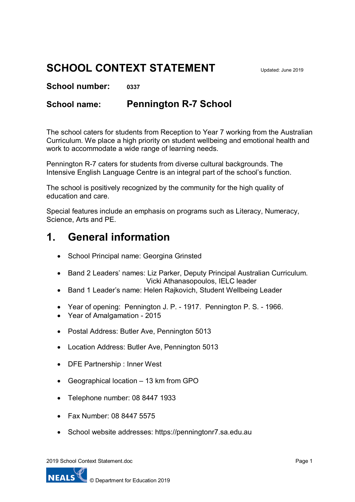# **SCHOOL CONTEXT STATEMENT**

**School number: 0337**

## **School name: Pennington R-7 School**

The school caters for students from Reception to Year 7 working from the Australian Curriculum. We place a high priority on student wellbeing and emotional health and work to accommodate a wide range of learning needs.

Pennington R-7 caters for students from diverse cultural backgrounds. The Intensive English Language Centre is an integral part of the school's function.

The school is positively recognized by the community for the high quality of education and care.

Special features include an emphasis on programs such as Literacy, Numeracy, Science, Arts and PE.

# **1. General information**

- School Principal name: Georgina Grinsted
- Band 2 Leaders' names: Liz Parker, Deputy Principal Australian Curriculum. Vicki Athanasopoulos, IELC leader
- Band 1 Leader's name: Helen Rajkovich, Student Wellbeing Leader
- Year of opening: Pennington J. P. 1917. Pennington P. S. 1966.
- Year of Amalgamation 2015
- Postal Address: Butler Ave, Pennington 5013
- Location Address: Butler Ave, Pennington 5013
- DFE Partnership : Inner West
- Geographical location 13 km from GPO
- Telephone number: 08 8447 1933
- Fax Number: 08 8447 5575
- School website addresses: https://penningtonr7.sa.edu.au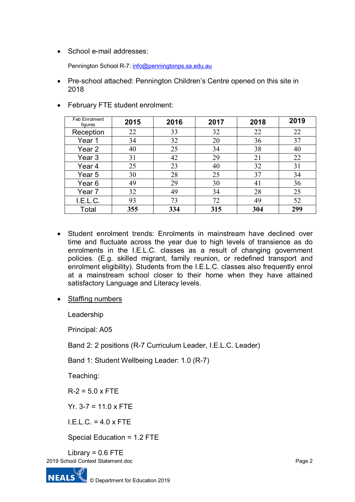• School e-mail addresses:

Pennington School R-7: [info@penningtonps.sa.edu.au](mailto:info@penningtonps.sa.edu.au)

• Pre-school attached: Pennington Children's Centre opened on this site in 2018

| Feb Enrolment<br>figures | 2015 | 2016 | 2017 | 2018 | 2019 |
|--------------------------|------|------|------|------|------|
| Reception                | 22   | 33   | 32   | 22   | 22   |
| Year 1                   | 34   | 32   | 20   | 36   | 37   |
| Year 2                   | 40   | 25   | 34   | 38   | 40   |
| Year 3                   | 31   | 42   | 29   | 21   | 22   |
| Year 4                   | 25   | 23   | 40   | 32   | 31   |
| Year 5                   | 30   | 28   | 25   | 37   | 34   |
| Year 6                   | 49   | 29   | 30   | 41   | 36   |
| Year 7                   | 32   | 49   | 34   | 28   | 25   |
| I.E.L.C.                 | 93   | 73   | 72   | 49   | 52   |
| Total                    | 355  | 334  | 315  | 304  | 299  |

• February FTE student enrolment:

- Student enrolment trends: Enrolments in mainstream have declined over time and fluctuate across the year due to high levels of transience as do enrolments in the I.E.L.C. classes as a result of changing government policies. (E.g. skilled migrant, family reunion, or redefined transport and enrolment eligibility). Students from the I.E.L.C. classes also frequently enrol at a mainstream school closer to their home when they have attained satisfactory Language and Literacy levels.
- Staffing numbers

Leadership

Principal: A05

Band 2: 2 positions (R-7 Curriculum Leader, I.E.L.C. Leader)

Band 1: Student Wellbeing Leader: 1.0 (R-7)

Teaching:

 $R - 2 = 5.0 \times FTE$ 

Yr.  $3-7 = 11.0 \times FTE$ 

 $IFLC = 4.0 x FTF$ 

Special Education = 1.2 FTE

2019 School Context Statement.doc Library =  $0.6$  FTE

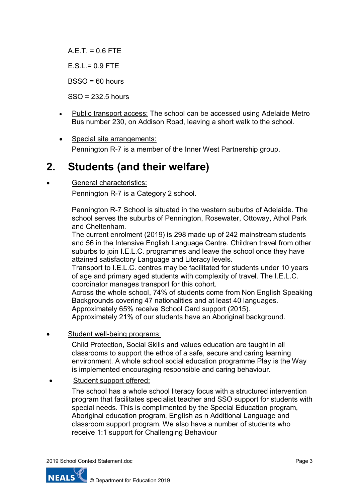$AFT = 0.6 FTF$ 

 $E.S.L = 0.9$  FTE

BSSO = 60 hours

SSO = 232.5 hours

- Public transport access: The school can be accessed using Adelaide Metro Bus number 230, on Addison Road, leaving a short walk to the school.
- Special site arrangements: Pennington R-7 is a member of the Inner West Partnership group.

## **2. Students (and their welfare)**

### General characteristics:

Pennington R-7 is a Category 2 school.

Pennington R-7 School is situated in the western suburbs of Adelaide. The school serves the suburbs of Pennington, Rosewater, Ottoway, Athol Park and Cheltenham.

The current enrolment (2019) is 298 made up of 242 mainstream students and 56 in the Intensive English Language Centre. Children travel from other suburbs to join I.E.L.C. programmes and leave the school once they have attained satisfactory Language and Literacy levels.

Transport to I.E.L.C. centres may be facilitated for students under 10 years of age and primary aged students with complexity of travel. The I.E.L.C. coordinator manages transport for this cohort.

Across the whole school, 74% of students come from Non English Speaking Backgrounds covering 47 nationalities and at least 40 languages. Approximately 65% receive School Card support (2015).

Approximately 21% of our students have an Aboriginal background.

Student well-being programs:

Child Protection, Social Skills and values education are taught in all classrooms to support the ethos of a safe, secure and caring learning environment. A whole school social education programme Play is the Way is implemented encouraging responsible and caring behaviour.

• Student support offered:

The school has a whole school literacy focus with a structured intervention program that facilitates specialist teacher and SSO support for students with special needs. This is complimented by the Special Education program, Aboriginal education program, English as n Additional Language and classroom support program. We also have a number of students who receive 1:1 support for Challenging Behaviour

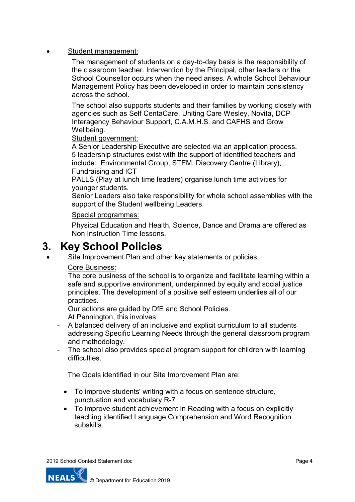• Student management:

The management of students on a day-to-day basis is the responsibility of the classroom teacher. Intervention by the Principal, other leaders or the School Counsellor occurs when the need arises. A whole School Behaviour Management Policy has been developed in order to maintain consistency across the school.

The school also supports students and their families by working closely with agencies such as Self CentaCare, Uniting Care Wesley, Novita, DCP Interagency Behaviour Support, C.A.M.H.S. and CAFHS and Grow Wellbeing.

Student government:

A Senior Leadership Executive are selected via an application process. 5 leadership structures exist with the support of identified teachers and include: Environmental Group, STEM, Discovery Centre (Library), Fundraising and ICT

PALLS (Play at lunch time leaders) organise lunch time activities for younger students.

Senior Leaders also take responsibility for whole school assemblies with the support of the Student wellbeing Leaders.

### Special programmes:

Physical Education and Health, Science, Dance and Drama are offered as Non Instruction Time lessons.

## **3. Key School Policies**

Site Improvement Plan and other key statements or policies:

### Core Business:

The core business of the school is to organize and facilitate learning within a safe and supportive environment, underpinned by equity and social justice principles. The development of a positive self esteem underlies all of our practices.

Our actions are guided by DfE and School Policies.

At Pennington, this involves:

- A balanced delivery of an inclusive and explicit curriculum to all students addressing Specific Learning Needs through the general classroom program and methodology.
- The school also provides special program support for children with learning difficulties.

The Goals identified in our Site Improvement Plan are:

- To improve students' writing with a focus on sentence structure, punctuation and vocabulary R-7
- To improve student achievement in Reading with a focus on explicitly teaching identified Language Comprehension and Word Recognition subskills.

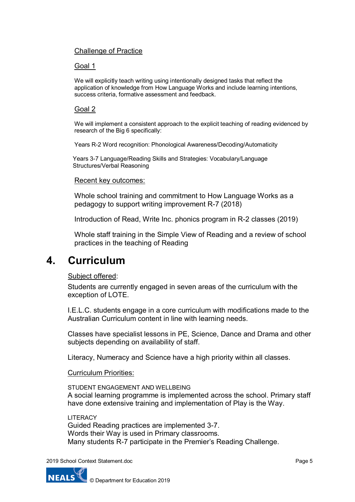### Challenge of Practice

#### Goal 1

We will explicitly teach writing using intentionally designed tasks that reflect the application of knowledge from How Language Works and include learning intentions, success criteria, formative assessment and feedback.

#### Goal 2

We will implement a consistent approach to the explicit teaching of reading evidenced by research of the Big 6 specifically:

Years R-2 Word recognition: Phonological Awareness/Decoding/Automaticity

Years 3-7 Language/Reading Skills and Strategies: Vocabulary/Language Structures/Verbal Reasoning

#### Recent key outcomes:

Whole school training and commitment to How Language Works as a pedagogy to support writing improvement R-7 (2018)

Introduction of Read, Write Inc. phonics program in R-2 classes (2019)

Whole staff training in the Simple View of Reading and a review of school practices in the teaching of Reading

## **4. Curriculum**

### Subject offered:

Students are currently engaged in seven areas of the curriculum with the exception of LOTE.

I.E.L.C. students engage in a core curriculum with modifications made to the Australian Curriculum content in line with learning needs.

Classes have specialist lessons in PE, Science, Dance and Drama and other subjects depending on availability of staff.

Literacy, Numeracy and Science have a high priority within all classes.

#### Curriculum Priorities:

STUDENT ENGAGEMENT AND WELLBEING A social learning programme is implemented across the school. Primary staff have done extensive training and implementation of Play is the Way.

LITERACY

Guided Reading practices are implemented 3-7. Words their Way is used in Primary classrooms. Many students R-7 participate in the Premier's Reading Challenge.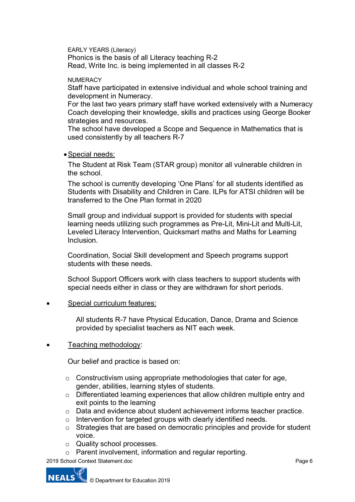EARLY YEARS (Literacy) Phonics is the basis of all Literacy teaching R-2 Read, Write Inc. is being implemented in all classes R-2

**NUMERACY** 

Staff have participated in extensive individual and whole school training and development in Numeracy.

For the last two years primary staff have worked extensively with a Numeracy Coach developing their knowledge, skills and practices using George Booker strategies and resources.

The school have developed a Scope and Sequence in Mathematics that is used consistently by all teachers R-7

•Special needs:

The Student at Risk Team (STAR group) monitor all vulnerable children in the school.

The school is currently developing 'One Plans' for all students identified as Students with Disability and Children in Care. ILPs for ATSI children will be transferred to the One Plan format in 2020

Small group and individual support is provided for students with special learning needs utilizing such programmes as Pre-Lit, Mini-Lit and Multi-Lit, Leveled Literacy Intervention, Quicksmart maths and Maths for Learning **Inclusion** 

Coordination, Social Skill development and Speech programs support students with these needs.

School Support Officers work with class teachers to support students with special needs either in class or they are withdrawn for short periods.

#### Special curriculum features:

All students R-7 have Physical Education, Dance, Drama and Science provided by specialist teachers as NIT each week.

• Teaching methodology:

Our belief and practice is based on:

- $\circ$  Constructivism using appropriate methodologies that cater for age, gender, abilities, learning styles of students.
- o Differentiated learning experiences that allow children multiple entry and exit points to the learning
- o Data and evidence about student achievement informs teacher practice.
- o Intervention for targeted groups with clearly identified needs.
- o Strategies that are based on democratic principles and provide for student voice.
- o Quality school processes.
- o Parent involvement, information and regular reporting.

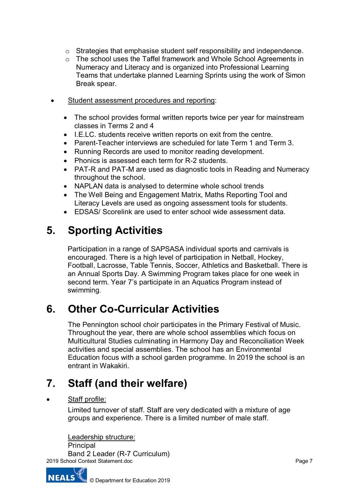- o Strategies that emphasise student self responsibility and independence.
- o The school uses the Taffel framework and Whole School Agreements in Numeracy and Literacy and is organized into Professional Learning Teams that undertake planned Learning Sprints using the work of Simon Break spear.
- Student assessment procedures and reporting:
	- The school provides formal written reports twice per year for mainstream classes in Terms 2 and 4
	- I.E.LC. students receive written reports on exit from the centre.
	- Parent-Teacher interviews are scheduled for late Term 1 and Term 3.
	- Running Records are used to monitor reading development.
	- Phonics is assessed each term for R-2 students.
	- PAT-R and PAT-M are used as diagnostic tools in Reading and Numeracy throughout the school.
	- NAPLAN data is analysed to determine whole school trends
	- The Well Being and Engagement Matrix, Maths Reporting Tool and Literacy Levels are used as ongoing assessment tools for students.
	- EDSAS/ Scorelink are used to enter school wide assessment data.

# **5. Sporting Activities**

Participation in a range of SAPSASA individual sports and carnivals is encouraged. There is a high level of participation in Netball, Hockey, Football, Lacrosse, Table Tennis, Soccer, Athletics and Basketball. There is an Annual Sports Day. A Swimming Program takes place for one week in second term. Year 7's participate in an Aquatics Program instead of swimming.

## **6. Other Co-Curricular Activities**

The Pennington school choir participates in the Primary Festival of Music. Throughout the year, there are whole school assemblies which focus on Multicultural Studies culminating in Harmony Day and Reconciliation Week activities and special assemblies. The school has an Environmental Education focus with a school garden programme. In 2019 the school is an entrant in Wakakiri.

# **7. Staff (and their welfare)**

### • Staff profile:

Limited turnover of staff. Staff are very dedicated with a mixture of age groups and experience. There is a limited number of male staff.

Leadership structure:

2019 School Context Statement.doc Principal Band 2 Leader (R-7 Curriculum)

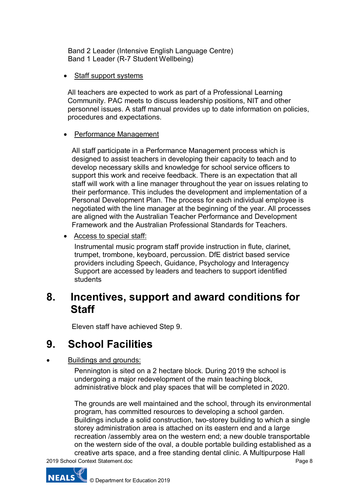Band 2 Leader (Intensive English Language Centre) Band 1 Leader (R-7 Student Wellbeing)

• Staff support systems

All teachers are expected to work as part of a Professional Learning Community. PAC meets to discuss leadership positions, NIT and other personnel issues. A staff manual provides up to date information on policies, procedures and expectations.

### • Performance Management

All staff participate in a Performance Management process which is designed to assist teachers in developing their capacity to teach and to develop necessary skills and knowledge for school service officers to support this work and receive feedback. There is an expectation that all staff will work with a line manager throughout the year on issues relating to their performance. This includes the development and implementation of a Personal Development Plan. The process for each individual employee is negotiated with the line manager at the beginning of the year. All processes are aligned with the Australian Teacher Performance and Development Framework and the Australian Professional Standards for Teachers.

• Access to special staff:

Instrumental music program staff provide instruction in flute, clarinet, trumpet, trombone, keyboard, percussion. DfE district based service providers including Speech, Guidance, Psychology and Interagency Support are accessed by leaders and teachers to support identified students

## **8. Incentives, support and award conditions for Staff**

Eleven staff have achieved Step 9.

# **9. School Facilities**

**Buildings and grounds:** 

Pennington is sited on a 2 hectare block. During 2019 the school is undergoing a major redevelopment of the main teaching block, administrative block and play spaces that will be completed in 2020.

The grounds are well maintained and the school, through its environmental program, has committed resources to developing a school garden. Buildings include a solid construction, two-storey building to which a single storey administration area is attached on its eastern end and a large recreation /assembly area on the western end; a new double transportable on the western side of the oval, a double portable building established as a creative arts space, and a free standing dental clinic. A Multipurpose Hall



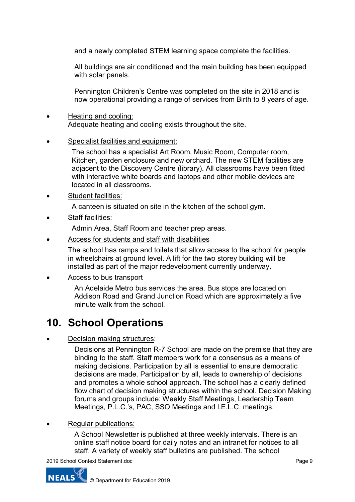and a newly completed STEM learning space complete the facilities.

All buildings are air conditioned and the main building has been equipped with solar panels.

Pennington Children's Centre was completed on the site in 2018 and is now operational providing a range of services from Birth to 8 years of age.

- Heating and cooling: Adequate heating and cooling exists throughout the site.
- Specialist facilities and equipment:

The school has a specialist Art Room, Music Room, Computer room, Kitchen, garden enclosure and new orchard. The new STEM facilities are adjacent to the Discovery Centre (library). All classrooms have been fitted with interactive white boards and laptops and other mobile devices are located in all classrooms.

Student facilities:

A canteen is situated on site in the kitchen of the school gym.

Staff facilities:

Admin Area, Staff Room and teacher prep areas.

• Access for students and staff with disabilities

The school has ramps and toilets that allow access to the school for people in wheelchairs at ground level. A lift for the two storey building will be installed as part of the major redevelopment currently underway.

• Access to bus transport

An Adelaide Metro bus services the area. Bus stops are located on Addison Road and Grand Junction Road which are approximately a five minute walk from the school.

# **10. School Operations**

• Decision making structures:

Decisions at Pennington R-7 School are made on the premise that they are binding to the staff. Staff members work for a consensus as a means of making decisions. Participation by all is essential to ensure democratic decisions are made. Participation by all, leads to ownership of decisions and promotes a whole school approach. The school has a clearly defined flow chart of decision making structures within the school. Decision Making forums and groups include: Weekly Staff Meetings, Leadership Team Meetings, P.L.C.'s, PAC, SSO Meetings and I.E.L.C. meetings.

### Regular publications:

A School Newsletter is published at three weekly intervals. There is an online staff notice board for daily notes and an intranet for notices to all staff. A variety of weekly staff bulletins are published. The school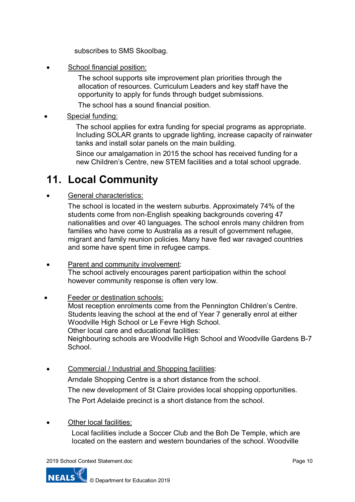subscribes to SMS Skoolbag.

School financial position:

The school supports site improvement plan priorities through the allocation of resources. Curriculum Leaders and key staff have the opportunity to apply for funds through budget submissions.

The school has a sound financial position.

Special funding:

The school applies for extra funding for special programs as appropriate. Including SOLAR grants to upgrade lighting, increase capacity of rainwater tanks and install solar panels on the main building.

Since our amalgamation in 2015 the school has received funding for a new Children's Centre, new STEM facilities and a total school upgrade.

# **11. Local Community**

General characteristics:

The school is located in the western suburbs. Approximately 74% of the students come from non-English speaking backgrounds covering 47 nationalities and over 40 languages. The school enrols many children from families who have come to Australia as a result of government refugee, migrant and family reunion policies. Many have fled war ravaged countries and some have spent time in refugee camps.

- Parent and community involvement: The school actively encourages parent participation within the school however community response is often very low.
- Feeder or destination schools:

Most reception enrolments come from the Pennington Children's Centre. Students leaving the school at the end of Year 7 generally enrol at either Woodville High School or Le Fevre High School. Other local care and educational facilities:

Neighbouring schools are Woodville High School and Woodville Gardens B-7 **School** 

• Commercial / Industrial and Shopping facilities: Arndale Shopping Centre is a short distance from the school. The new development of St Claire provides local shopping opportunities. The Port Adelaide precinct is a short distance from the school.

Other local facilities:

Local facilities include a Soccer Club and the Boh De Temple, which are located on the eastern and western boundaries of the school. Woodville